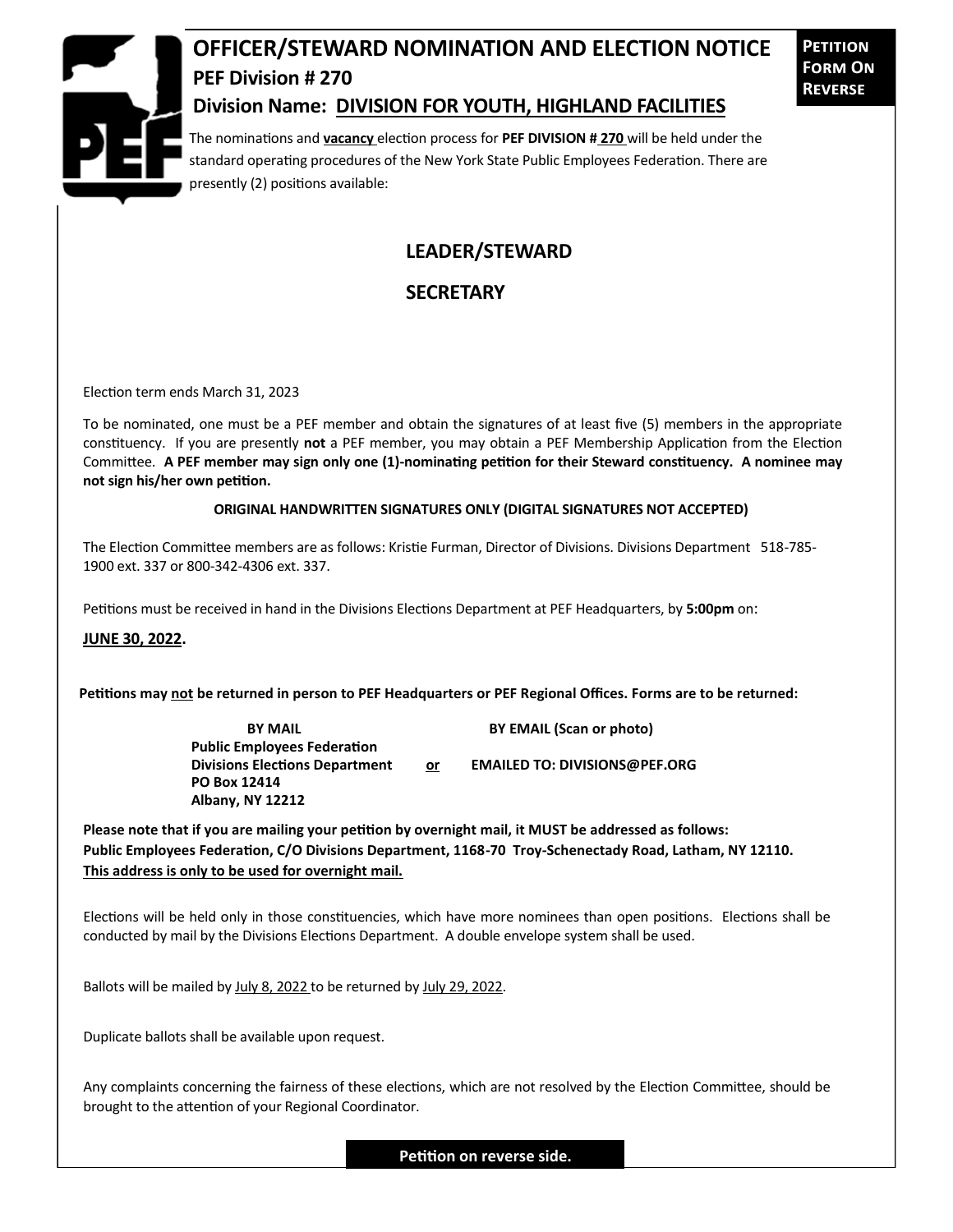

# **OFFICER/STEWARD NOMINATION AND ELECTION NOTICE PEF Division # 270**

**Petition Form On Reverse**

### **Division Name: DIVISION FOR YOUTH, HIGHLAND FACILITIES**

The nominations and **vacancy** election process for **PEF DIVISION # 270** will be held under the standard operating procedures of the New York State Public Employees Federation. There are presently (2) positions available:

## **LEADER/STEWARD**

### **SECRETARY**

Election term ends March 31, 2023

To be nominated, one must be a PEF member and obtain the signatures of at least five (5) members in the appropriate constituency. If you are presently **not** a PEF member, you may obtain a PEF Membership Application from the Election Committee. **A PEF member may sign only one (1)-nominating petition for their Steward constituency. A nominee may not sign his/her own petition.**

#### **ORIGINAL HANDWRITTEN SIGNATURES ONLY (DIGITAL SIGNATURES NOT ACCEPTED)**

The Election Committee members are as follows: Kristie Furman, Director of Divisions. Divisions Department 518-785- 1900 ext. 337 or 800-342-4306 ext. 337.

Petitions must be received in hand in the Divisions Elections Department at PEF Headquarters, by **5:00pm** on:

**JUNE 30, 2022.**

**Petitions may not be returned in person to PEF Headquarters or PEF Regional Offices. Forms are to be returned:**

**Public Employees Federation PO Box 12414 Albany, NY 12212**

**BY MAIL BY EMAIL (Scan or photo)** 

Divisions Elections Department or **EMAILED TO: DIVISIONS@PEF.ORG** 

**Please note that if you are mailing your petition by overnight mail, it MUST be addressed as follows: Public Employees Federation, C/O Divisions Department, 1168-70 Troy-Schenectady Road, Latham, NY 12110. This address is only to be used for overnight mail.**

Elections will be held only in those constituencies, which have more nominees than open positions. Elections shall be conducted by mail by the Divisions Elections Department. A double envelope system shall be used.

Ballots will be mailed by July 8, 2022 to be returned by July 29, 2022.

Duplicate ballots shall be available upon request.

Any complaints concerning the fairness of these elections, which are not resolved by the Election Committee, should be brought to the attention of your Regional Coordinator.

**Petition on reverse side.**